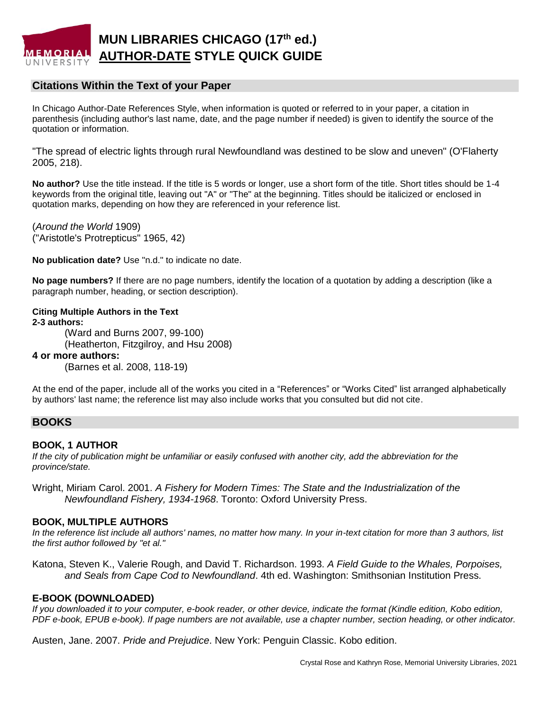

# **Citations Within the Text of your Paper**

In Chicago Author-Date References Style, when information is quoted or referred to in your paper, a citation in parenthesis (including author's last name, date, and the page number if needed) is given to identify the source of the quotation or information.

"The spread of electric lights through rural Newfoundland was destined to be slow and uneven" (O'Flaherty 2005, 218).

**No author?** Use the title instead. If the title is 5 words or longer, use a short form of the title. Short titles should be 1-4 keywords from the original title, leaving out "A" or "The" at the beginning. Titles should be italicized or enclosed in quotation marks, depending on how they are referenced in your reference list.

(*Around the World* 1909) ("Aristotle's Protrepticus" 1965, 42)

**No publication date?** Use "n.d." to indicate no date.

**No page numbers?** If there are no page numbers, identify the location of a quotation by adding a description (like a paragraph number, heading, or section description).

## **Citing Multiple Authors in the Text**

**2-3 authors:** (Ward and Burns 2007, 99-100) (Heatherton, Fitzgilroy, and Hsu 2008)

#### **4 or more authors:**

(Barnes et al. 2008, 118-19)

At the end of the paper, include all of the works you cited in a "References" or "Works Cited" list arranged alphabetically by authors' last name; the reference list may also include works that you consulted but did not cite.

### **BOOKS**

#### **BOOK, 1 AUTHOR**

*If the city of publication might be unfamiliar or easily confused with another city, add the abbreviation for the province/state.*

Wright, Miriam Carol. 2001. *A Fishery for Modern Times: The State and the Industrialization of the Newfoundland Fishery, 1934-1968*. Toronto: Oxford University Press.

#### **BOOK, MULTIPLE AUTHORS**

*In the reference list include all authors' names, no matter how many. In your in-text citation for more than 3 authors, list the first author followed by "et al."*

Katona, Steven K., Valerie Rough, and David T. Richardson. 1993. *A Field Guide to the Whales, Porpoises, and Seals from Cape Cod to Newfoundland*. 4th ed. Washington: Smithsonian Institution Press.

### **E-BOOK (DOWNLOADED)**

*If you downloaded it to your computer, e-book reader, or other device, indicate the format (Kindle edition, Kobo edition, PDF e-book, EPUB e-book). If page numbers are not available, use a chapter number, section heading, or other indicator.*

Austen, Jane. 2007. *Pride and Prejudice*. New York: Penguin Classic. Kobo edition.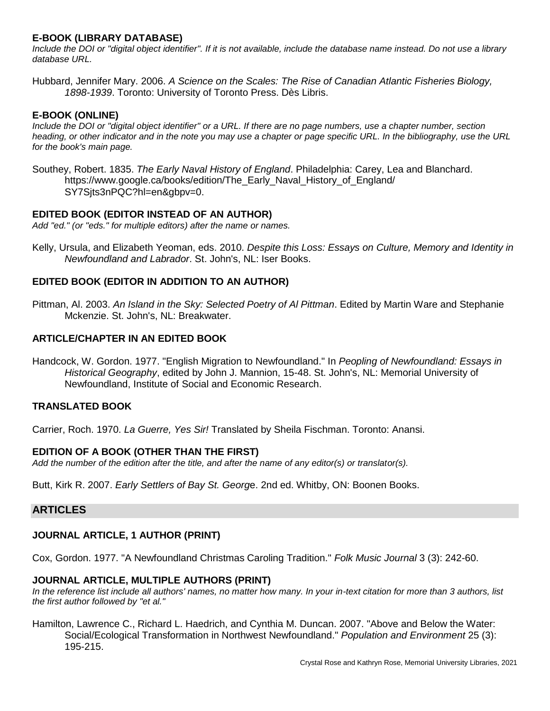# **E-BOOK (LIBRARY DATABASE)**

*Include the DOI or "digital object identifier". If it is not available, include the database name instead. Do not use a library database URL.*

Hubbard, Jennifer Mary. 2006. *A Science on the Scales: The Rise of Canadian Atlantic Fisheries Biology, 1898-1939*. Toronto: University of Toronto Press. Dès Libris.

## **E-BOOK (ONLINE)**

*Include the DOI or "digital object identifier" or a URL. If there are no page numbers, use a chapter number, section heading, or other indicator and in the note you may use a chapter or page specific URL. In the bibliography, use the URL for the book's main page.*

Southey, Robert. 1835. *The Early Naval History of England*. Philadelphia: Carey, Lea and Blanchard. https://www.google.ca/books/edition/The\_Early\_Naval\_History\_of\_England/ SY7Sjts3nPQC?hl=en&gbpv=0.

## **EDITED BOOK (EDITOR INSTEAD OF AN AUTHOR)**

*Add "ed." (or "eds." for multiple editors) after the name or names.*

Kelly, Ursula, and Elizabeth Yeoman, eds. 2010. *Despite this Loss: Essays on Culture, Memory and Identity in Newfoundland and Labrador*. St. John's, NL: Iser Books.

# **EDITED BOOK (EDITOR IN ADDITION TO AN AUTHOR)**

Pittman, Al. 2003. *An Island in the Sky: Selected Poetry of Al Pittman*. Edited by Martin Ware and Stephanie Mckenzie. St. John's, NL: Breakwater.

# **ARTICLE/CHAPTER IN AN EDITED BOOK**

Handcock, W. Gordon. 1977. "English Migration to Newfoundland." In *Peopling of Newfoundland: Essays in Historical Geography*, edited by John J. Mannion, 15-48. St. John's, NL: Memorial University of Newfoundland, Institute of Social and Economic Research.

### **TRANSLATED BOOK**

Carrier, Roch. 1970. *La Guerre, Yes Sir!* Translated by Sheila Fischman. Toronto: Anansi.

# **EDITION OF A BOOK (OTHER THAN THE FIRST)**

*Add the number of the edition after the title, and after the name of any editor(s) or translator(s).*

Butt, Kirk R. 2007. *Early Settlers of Bay St. Georg*e. 2nd ed. Whitby, ON: Boonen Books.

# **ARTICLES**

# **JOURNAL ARTICLE, 1 AUTHOR (PRINT)**

Cox, Gordon. 1977. "A Newfoundland Christmas Caroling Tradition." *Folk Music Journal* 3 (3): 242-60.

### **JOURNAL ARTICLE, MULTIPLE AUTHORS (PRINT)**

*In the reference list include all authors' names, no matter how many. In your in-text citation for more than 3 authors, list the first author followed by "et al."*

Hamilton, Lawrence C., Richard L. Haedrich, and Cynthia M. Duncan. 2007. "Above and Below the Water: Social/Ecological Transformation in Northwest Newfoundland." *Population and Environment* 25 (3): 195-215.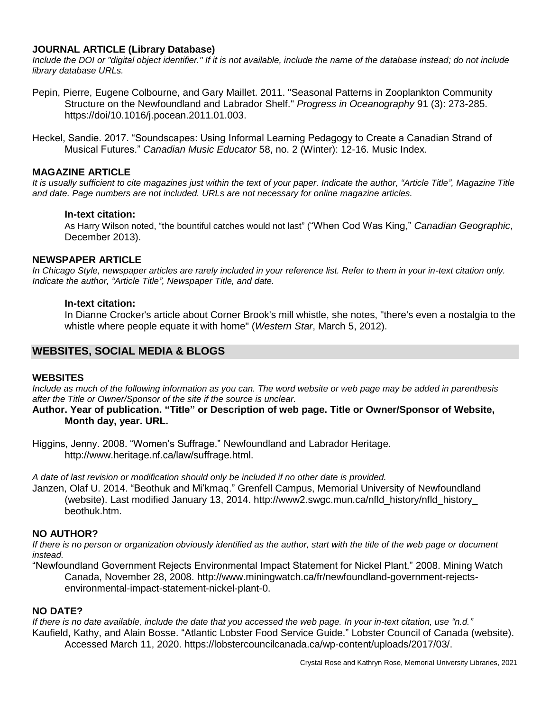## **JOURNAL ARTICLE (Library Database)**

Include the DOI or "digital object identifier." If it is not available, include the name of the database instead; do not include *library database URLs.*

- Pepin, Pierre, Eugene Colbourne, and Gary Maillet. 2011. "Seasonal Patterns in Zooplankton Community Structure on the Newfoundland and Labrador Shelf." *Progress in Oceanography* 91 (3): 273-285. https://doi/10.1016/j.pocean.2011.01.003.
- Heckel, Sandie. 2017. "Soundscapes: Using Informal Learning Pedagogy to Create a Canadian Strand of Musical Futures." *Canadian Music Educator* 58, no. 2 (Winter): 12-16. Music Index.

### **MAGAZINE ARTICLE**

*It is usually sufficient to cite magazines just within the text of your paper. Indicate the author, "Article Title", Magazine Title and date. Page numbers are not included. URLs are not necessary for online magazine articles.*

#### **In-text citation:**

As Harry Wilson noted, "the bountiful catches would not last" ("When Cod Was King," *Canadian Geographic*, December 2013).

#### **NEWSPAPER ARTICLE**

*In Chicago Style, newspaper articles are rarely included in your reference list. Refer to them in your in-text citation only. Indicate the author, "Article Title", Newspaper Title, and date.*

#### **In-text citation:**

In Dianne Crocker's article about Corner Brook's mill whistle, she notes, "there's even a nostalgia to the whistle where people equate it with home" (*Western Star*, March 5, 2012).

## **WEBSITES, SOCIAL MEDIA & BLOGS**

#### **WEBSITES**

*Include as much of the following information as you can. The word website or web page may be added in parenthesis after the Title or Owner/Sponsor of the site if the source is unclear.*

**Author. Year of publication. "Title" or Description of web page. Title or Owner/Sponsor of Website, Month day, year. URL.**

Higgins, Jenny. 2008. "Women's Suffrage." Newfoundland and Labrador Heritage*.* http://www.heritage.nf.ca/law/suffrage.html.

*A date of last revision or modification should only be included if no other date is provided.*

Janzen, Olaf U. 2014. "Beothuk and Mi'kmaq." Grenfell Campus, Memorial University of Newfoundland (website). Last modified January 13, 2014. http://www2.swgc.mun.ca/nfld\_history/nfld\_history\_ beothuk.htm.

### **NO AUTHOR?**

*If there is no person or organization obviously identified as the author, start with the title of the web page or document instead.*

"Newfoundland Government Rejects Environmental Impact Statement for Nickel Plant." 2008. Mining Watch Canada, November 28, 2008. http://www.miningwatch.ca/fr/newfoundland-government-rejectsenvironmental-impact-statement-nickel-plant-0.

### **NO DATE?**

*If there is no date available, include the date that you accessed the web page. In your in-text citation, use "n.d."* Kaufield, Kathy, and Alain Bosse. "Atlantic Lobster Food Service Guide." Lobster Council of Canada (website). Accessed March 11, 2020. https://lobstercouncilcanada.ca/wp-content/uploads/2017/03/.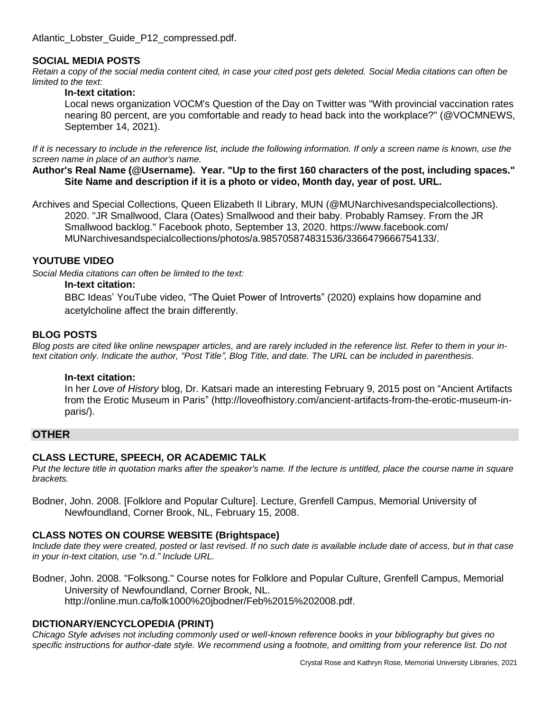Atlantic\_Lobster\_Guide\_P12\_compressed.pdf.

## **SOCIAL MEDIA POSTS**

*Retain a copy of the social media content cited, in case your cited post gets deleted. Social Media citations can often be limited to the text:*

#### **In-text citation:**

Local news organization VOCM's Question of the Day on Twitter was "With provincial vaccination rates nearing 80 percent, are you comfortable and ready to head back into the workplace?" (@VOCMNEWS, September 14, 2021).

*If it is necessary to include in the reference list, include the following information. If only a screen name is known, use the screen name in place of an author's name.*

**Author's Real Name (@Username). Year. "Up to the first 160 characters of the post, including spaces." Site Name and description if it is a photo or video, Month day, year of post. URL.**

Archives and Special Collections, Queen Elizabeth II Library, MUN (@MUNarchivesandspecialcollections). 2020. "JR Smallwood, Clara (Oates) Smallwood and their baby. Probably Ramsey. From the JR Smallwood backlog." Facebook photo, September 13, 2020. https://www.facebook.com/ MUNarchivesandspecialcollections/photos/a.985705874831536/3366479666754133/.

### **YOUTUBE VIDEO**

*Social Media citations can often be limited to the text:*

#### **In-text citation:**

BBC Ideas' YouTube video, "The Quiet Power of Introverts" (2020) explains how dopamine and acetylcholine affect the brain differently.

### **BLOG POSTS**

Blog posts are cited like online newspaper articles, and are rarely included in the reference list. Refer to them in your in*text citation only. Indicate the author, "Post Title", Blog Title, and date. The URL can be included in parenthesis.*

### **In-text citation:**

In her *Love of History* blog, Dr. Katsari made an interesting February 9, 2015 post on "Ancient Artifacts from the Erotic Museum in Paris" (http://loveofhistory.com/ancient-artifacts-from-the-erotic-museum-inparis/).

## **OTHER**

### **CLASS LECTURE, SPEECH, OR ACADEMIC TALK**

*Put the lecture title in quotation marks after the speaker's name. If the lecture is untitled, place the course name in square brackets.*

Bodner, John. 2008. [Folklore and Popular Culture]. Lecture, Grenfell Campus, Memorial University of Newfoundland, Corner Brook, NL, February 15, 2008.

### **CLASS NOTES ON COURSE WEBSITE (Brightspace)**

*Include date they were created, posted or last revised. If no such date is available include date of access, but in that case in your in-text citation, use "n.d." Include URL.*

Bodner, John. 2008. "Folksong." Course notes for Folklore and Popular Culture, Grenfell Campus, Memorial University of Newfoundland, Corner Brook, NL. http://online.mun.ca/folk1000%20jbodner/Feb%2015%202008.pdf.

### **DICTIONARY/ENCYCLOPEDIA (PRINT)**

*Chicago Style advises not including commonly used or well-known reference books in your bibliography but gives no specific instructions for author-date style. We recommend using a footnote, and omitting from your reference list. Do not*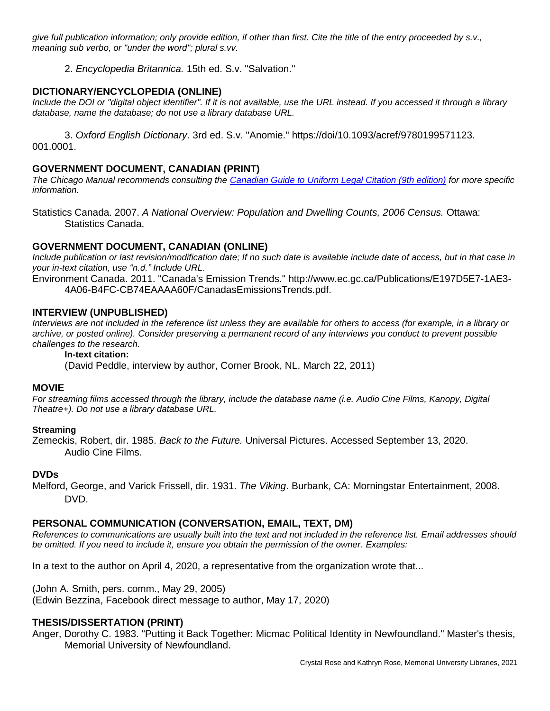*give full publication information; only provide edition, if other than first. Cite the title of the entry proceeded by s.v., meaning sub verbo, or "under the word"; plural s.vv.*

2. *Encyclopedia Britannica.* 15th ed. S.v. "Salvation."

# **DICTIONARY/ENCYCLOPEDIA (ONLINE)**

*Include the DOI or "digital object identifier". If it is not available, use the URL instead. If you accessed it through a library database, name the database; do not use a library database URL.* 

3. *Oxford English Dictionary*. 3rd ed. S.v. "Anomie." https://doi/10.1093/acref/9780199571123. 001.0001.

# **GOVERNMENT DOCUMENT, CANADIAN (PRINT)**

*The Chicago Manual recommends consulting the [Canadian Guide to Uniform Legal Citation \(9th edition\)](https://mun.primo.exlibrisgroup.com/permalink/01MUN_INST/1f101eq/alma991141973902511) for more specific information.*

Statistics Canada. 2007. *A National Overview: Population and Dwelling Counts, 2006 Census.* Ottawa: Statistics Canada.

## **GOVERNMENT DOCUMENT, CANADIAN (ONLINE)**

*Include publication or last revision/modification date; If no such date is available include date of access, but in that case in your in-text citation, use "n.d." Include URL.*

Environment Canada. 2011. "Canada's Emission Trends." http://www.ec.gc.ca/Publications/E197D5E7-1AE3- 4A06-B4FC-CB74EAAAA60F/CanadasEmissionsTrends.pdf.

## **INTERVIEW (UNPUBLISHED)**

*Interviews are not included in the reference list unless they are available for others to access (for example, in a library or archive, or posted online). Consider preserving a permanent record of any interviews you conduct to prevent possible challenges to the research.*

### **In-text citation:**

(David Peddle, interview by author, Corner Brook, NL, March 22, 2011)

### **MOVIE**

*For streaming films accessed through the library, include the database name (i.e. Audio Cine Films, Kanopy, Digital Theatre+). Do not use a library database URL.*

### **Streaming**

Zemeckis, Robert, dir. 1985. *Back to the Future.* Universal Pictures. Accessed September 13, 2020. Audio Cine Films.

### **DVDs**

Melford, George, and Varick Frissell, dir. 1931. *The Viking*. Burbank, CA: Morningstar Entertainment, 2008. DVD.

### **PERSONAL COMMUNICATION (CONVERSATION, EMAIL, TEXT, DM)**

*References to communications are usually built into the text and not included in the reference list. Email addresses should be omitted. If you need to include it, ensure you obtain the permission of the owner. Examples:*

In a text to the author on April 4, 2020, a representative from the organization wrote that...

(John A. Smith, pers. comm., May 29, 2005) (Edwin Bezzina, Facebook direct message to author, May 17, 2020)

### **THESIS/DISSERTATION (PRINT)**

Anger, Dorothy C. 1983. "Putting it Back Together: Micmac Political Identity in Newfoundland." Master's thesis, Memorial University of Newfoundland.